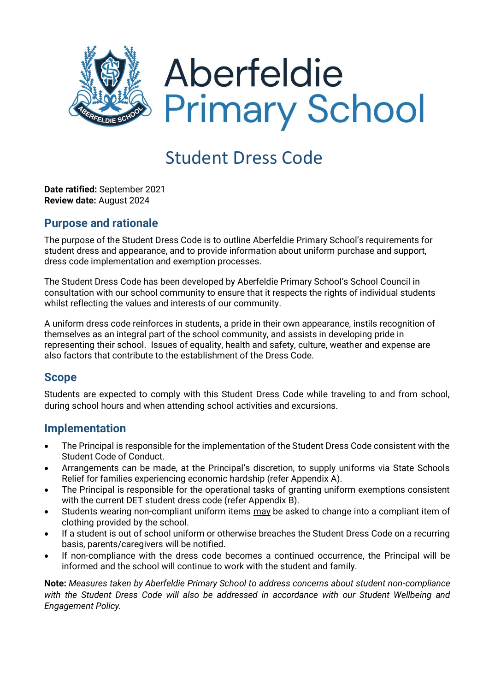

# Student Dress Code

**Date ratified:** September 2021 **Review date:** August 2024

#### **Purpose and rationale**

The purpose of the Student Dress Code is to outline Aberfeldie Primary School's requirements for student dress and appearance, and to provide information about uniform purchase and support, dress code implementation and exemption processes.

The Student Dress Code has been developed by Aberfeldie Primary School's School Council in consultation with our school community to ensure that it respects the rights of individual students whilst reflecting the values and interests of our community.

A uniform dress code reinforces in students, a pride in their own appearance, instils recognition of themselves as an integral part of the school community, and assists in developing pride in representing their school. Issues of equality, health and safety, culture, weather and expense are also factors that contribute to the establishment of the Dress Code.

#### **Scope**

Students are expected to comply with this Student Dress Code while traveling to and from school, during school hours and when attending school activities and excursions.

#### **Implementation**

- The Principal is responsible for the implementation of the Student Dress Code consistent with the Student Code of Conduct.
- Arrangements can be made, at the Principal's discretion, to supply uniforms via State Schools Relief for families experiencing economic hardship (refer Appendix A).
- The Principal is responsible for the operational tasks of granting uniform exemptions consistent with the current DET student dress code (refer Appendix B).
- Students wearing non-compliant uniform items may be asked to change into a compliant item of clothing provided by the school.
- If a student is out of school uniform or otherwise breaches the Student Dress Code on a recurring basis, parents/caregivers will be notified.
- If non-compliance with the dress code becomes a continued occurrence, the Principal will be informed and the school will continue to work with the student and family.

**Note:** *Measures taken by Aberfeldie Primary School to address concerns about student non-compliance with the Student Dress Code will also be addressed in accordance with our Student Wellbeing and Engagement Policy.*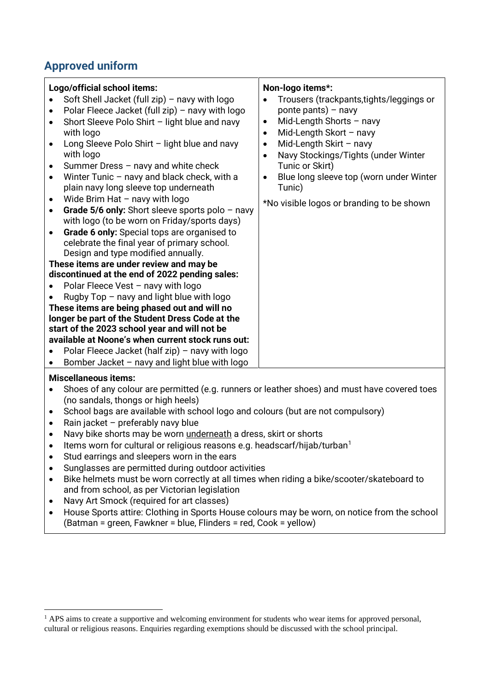# **Approved uniform**

| Logo/official school items:                                |                                                                                                                                                                                                                                                                                                                                                                                                                                                                                                                                                                                                 |                                               | Non-logo items*:                                                                                                                                                                                                                                                                                                      |
|------------------------------------------------------------|-------------------------------------------------------------------------------------------------------------------------------------------------------------------------------------------------------------------------------------------------------------------------------------------------------------------------------------------------------------------------------------------------------------------------------------------------------------------------------------------------------------------------------------------------------------------------------------------------|-----------------------------------------------|-----------------------------------------------------------------------------------------------------------------------------------------------------------------------------------------------------------------------------------------------------------------------------------------------------------------------|
| $\bullet$<br>$\bullet$<br>٠<br>$\bullet$<br>$\bullet$<br>٠ | Soft Shell Jacket (full zip) - navy with logo<br>Polar Fleece Jacket (full zip) - navy with logo<br>Short Sleeve Polo Shirt - light blue and navy<br>with logo<br>Long Sleeve Polo Shirt - light blue and navy<br>with logo<br>Summer Dress - navy and white check<br>Winter Tunic - navy and black check, with a<br>plain navy long sleeve top underneath<br>Wide Brim Hat - navy with logo<br>Grade 5/6 only: Short sleeve sports polo $-$ navy<br>with logo (to be worn on Friday/sports days)<br>Grade 6 only: Special tops are organised to<br>celebrate the final year of primary school. | ٠<br>$\bullet$<br>٠<br>$\bullet$<br>$\bullet$ | Trousers (trackpants, tights/leggings or<br>ponte pants) $-$ navy<br>Mid-Length Shorts $-$ navy<br>Mid-Length Skort $-$ navy<br>Mid-Length Skirt $-$ navy<br>Navy Stockings/Tights (under Winter<br>Tunic or Skirt)<br>Blue long sleeve top (worn under Winter<br>Tunic)<br>*No visible logos or branding to be shown |
|                                                            | Design and type modified annually.                                                                                                                                                                                                                                                                                                                                                                                                                                                                                                                                                              |                                               |                                                                                                                                                                                                                                                                                                                       |
| These items are under review and may be                    |                                                                                                                                                                                                                                                                                                                                                                                                                                                                                                                                                                                                 |                                               |                                                                                                                                                                                                                                                                                                                       |
| discontinued at the end of 2022 pending sales:             |                                                                                                                                                                                                                                                                                                                                                                                                                                                                                                                                                                                                 |                                               |                                                                                                                                                                                                                                                                                                                       |
|                                                            | Polar Fleece Vest - navy with logo                                                                                                                                                                                                                                                                                                                                                                                                                                                                                                                                                              |                                               |                                                                                                                                                                                                                                                                                                                       |
|                                                            | Rugby $Top$ – navy and light blue with logo                                                                                                                                                                                                                                                                                                                                                                                                                                                                                                                                                     |                                               |                                                                                                                                                                                                                                                                                                                       |
| These items are being phased out and will no               |                                                                                                                                                                                                                                                                                                                                                                                                                                                                                                                                                                                                 |                                               |                                                                                                                                                                                                                                                                                                                       |
| longer be part of the Student Dress Code at the            |                                                                                                                                                                                                                                                                                                                                                                                                                                                                                                                                                                                                 |                                               |                                                                                                                                                                                                                                                                                                                       |
| start of the 2023 school year and will not be              |                                                                                                                                                                                                                                                                                                                                                                                                                                                                                                                                                                                                 |                                               |                                                                                                                                                                                                                                                                                                                       |
|                                                            | available at Noone's when current stock runs out:                                                                                                                                                                                                                                                                                                                                                                                                                                                                                                                                               |                                               |                                                                                                                                                                                                                                                                                                                       |
|                                                            | Polar Fleece Jacket (half zip) – navy with logo                                                                                                                                                                                                                                                                                                                                                                                                                                                                                                                                                 |                                               |                                                                                                                                                                                                                                                                                                                       |
|                                                            | Bomber Jacket - navy and light blue with logo                                                                                                                                                                                                                                                                                                                                                                                                                                                                                                                                                   |                                               |                                                                                                                                                                                                                                                                                                                       |

#### **Miscellaneous items:**

- Shoes of any colour are permitted (e.g. runners or leather shoes) and must have covered toes (no sandals, thongs or high heels)
- School bags are available with school logo and colours (but are not compulsory)
- Rain jacket preferably navy blue
- Navy bike shorts may be worn underneath a dress, skirt or shorts
- Items worn for cultural or religious reasons e.g. headscarf/hijab/turban<sup>1</sup>
- Stud earrings and sleepers worn in the ears
- Sunglasses are permitted during outdoor activities
- Bike helmets must be worn correctly at all times when riding a bike/scooter/skateboard to and from school, as per Victorian legislation
- Navy Art Smock (required for art classes)
- House Sports attire: Clothing in Sports House colours may be worn, on notice from the school (Batman = green, Fawkner = blue, Flinders = red, Cook = yellow)

<sup>&</sup>lt;sup>1</sup> APS aims to create a supportive and welcoming environment for students who wear items for approved personal, cultural or religious reasons. Enquiries regarding exemptions should be discussed with the school principal.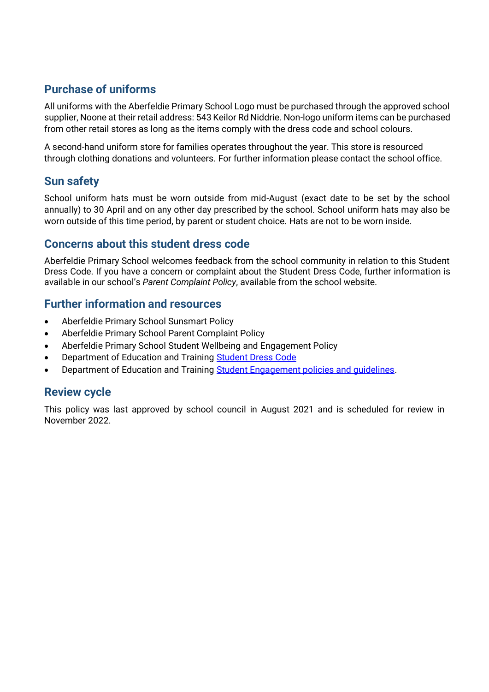# **Purchase of uniforms**

All uniforms with the Aberfeldie Primary School Logo must be purchased through the approved school supplier, Noone at their retail address: 543 Keilor Rd Niddrie. Non-logo uniform items can be purchased from other retail stores as long as the items comply with the dress code and school colours.

A second-hand uniform store for families operates throughout the year. This store is resourced through clothing donations and volunteers. For further information please contact the school office.

# **Sun safety**

School uniform hats must be worn outside from mid-August (exact date to be set by the school annually) to 30 April and on any other day prescribed by the school. School uniform hats may also be worn outside of this time period, by parent or student choice. Hats are not to be worn inside.

### **Concerns about this student dress code**

Aberfeldie Primary School welcomes feedback from the school community in relation to this Student Dress Code. If you have a concern or complaint about the Student Dress Code, further information is available in our school's *Parent Complaint Policy*, available from the school website.

### **Further information and resources**

- Aberfeldie Primary School Sunsmart Policy
- Aberfeldie Primary School Parent Complaint Policy
- Aberfeldie Primary School Student Wellbeing and Engagement Policy
- Department of Education and Training [Student Dress Code](https://www2.education.vic.gov.au/pal/student-dress-code/policy)
- Department of Education and Training Student Engagement policies and quidelines.

#### **Review cycle**

This policy was last approved by school council in August 2021 and is scheduled for review in November 2022.